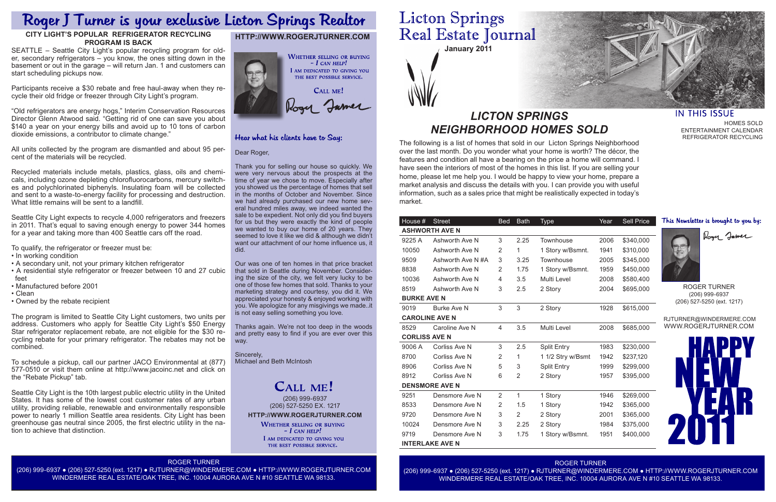**January 2011**

The following is a list of homes that sold in our Licton Springs Neighborhood over the last month. Do you wonder what your home is worth? The décor, the features and condition all have a bearing on the price a home will command. I have seen the interiors of most of the homes in this list. If you are selling your home, please let me help you. I would be happy to view your home, prepare a market analysis and discuss the details with you. I can provide you with useful information, such as a sales price that might be realistically expected in today's market.

## *LICTON SPRINGS NEIGHBORHOOD HOMES SOLD*

## **HTTP://WWW.ROGERJTURNER.COM**



## Hear what his clients have to Say:

### Dear Roger,

Thank you for selling our house so quickly. We were very nervous about the prospects at the time of year we chose to move. Especially after you showed us the percentage of homes that sell in the months of October and November. Since we had already purchased our new home several hundred miles away, we indeed wanted the sale to be expedient. Not only did you find buyers for us but they were exactly the kind of people we wanted to buy our home of 20 years. They seemed to love it like we did & although we didn't want our attachment of our home influence us, it did.

Our was one of ten homes in that price bracket that sold in Seattle during November. Considering the size of the city, we felt very lucky to be one of those few homes that sold. Thanks to your marketing strategy and courtesy, you did it. We appreciated your honesty & enjoyed working with you. We apologize for any misgivings we made..it is not easy selling something you love.

**HTTP://WWW.ROGERJTURNER.COM** (206) 999-6937 (206) 527-5250 EX. 1217

**WHETHER SELLING OR BUYING**  $-$  I can help! I AM DEDICATED TO GIVING YOU THE BEST POSSIBLE SERVICE.

Thanks again. We're not too deep in the woods and pretty easy to find if you are ever over this way.

Sincerely, Michael and Beth McIntosh

## **CALL ME!**

### ROGER TURNER

(206) 999-6937 ● (206) 527-5250 (ext. 1217) ● RJTURNER@WINDERMERE.COM ● HTTP://WWW.ROGERJTURNER.COM WINDERMERE REAL ESTATE/OAK TREE, INC. 10004 AURORA AVE N #10 SEATTLE WA 98133.

# **Licton Springs** Real Estate Journal

ROGER TURNER (206) 999-6937 ● (206) 527-5250 (ext. 1217) ● RJTURNER@WINDERMERE.COM ● HTTP://WWW.ROGERJTURNER.COM WINDERMERE REAL ESTATE/OAK TREE, INC. 10004 AURORA AVE N #10 SEATTLE WA 98133.



## **IN THIS ISSUE**

Recycled materials include metals, plastics, glass, oils and chemicals, including ozone depleting chlorofluorocarbons, mercury switches and polychlorinated biphenyls. Insulating foam will be collected and sent to a waste-to-energy facility for processing and destruction. What little remains will be sent to a landfill.

HOMES SOLD ENTERTAINMENT CALENDAR REFRIGERATOR RECYCLING

| House #                | <b>Street</b>         | <b>Bed</b>     | <b>Bath</b>  | <b>Type</b>        | Year | Sell Price                                   | This Newsletter is brought to you by: |  |  |
|------------------------|-----------------------|----------------|--------------|--------------------|------|----------------------------------------------|---------------------------------------|--|--|
|                        | <b>ASHWORTH AVE N</b> | Roger Jamer    |              |                    |      |                                              |                                       |  |  |
| 9225 A                 | Ashworth Ave N        | 3              | 2.25         | Townhouse          | 2006 | \$340,000                                    |                                       |  |  |
| 10050                  | Ashworth Ave N        | 2              | 1            | 1 Story w/Bsmnt.   | 1941 | \$310,000                                    |                                       |  |  |
| 9509                   | Ashworth Ave N#A      | 3              | 3.25         | Townhouse          | 2005 | \$345,000                                    |                                       |  |  |
| 8838                   | Ashworth Ave N        | 2              | 1.75         | 1 Story w/Bsmnt.   | 1959 | \$450,000                                    |                                       |  |  |
| 10036                  | Ashworth Ave N        | 4              | 3.5          | Multi Level        | 2008 | \$580,400                                    |                                       |  |  |
| 8519                   | Ashworth Ave N        | 3              | 2.5          | 2 Story            | 2004 | \$695,000                                    | <b>ROGER TURNER</b>                   |  |  |
| <b>BURKE AVE N</b>     |                       |                |              |                    |      | (206) 999-6937<br>(206) 527-5250 (ext. 1217) |                                       |  |  |
| 9019                   | <b>Burke Ave N</b>    | 3              | 3            | 2 Story            | 1928 | \$615,000                                    |                                       |  |  |
| <b>CAROLINE AVE N</b>  |                       |                |              |                    |      |                                              | RJTURNER@WINDERMERE.COM               |  |  |
| 8529                   | Caroline Ave N        | 4              | 3.5          | Multi Level        | 2008 | \$685,000                                    | WWW.ROGERJTURNER.COM                  |  |  |
|                        | <b>CORLISS AVE N</b>  |                |              |                    |      |                                              |                                       |  |  |
| 9006 A                 | Corliss Ave N         | 3              | 2.5          | <b>Split Entry</b> | 1983 | \$230,000                                    |                                       |  |  |
| 8700                   | Corliss Ave N         | 2              | 1            | 1 1/2 Stry w/Bsmt  | 1942 | \$237,120                                    |                                       |  |  |
| 8906                   | Corliss Ave N         | 5              | 3            | <b>Split Entry</b> | 1999 | \$299,000                                    |                                       |  |  |
| 8912                   | Corliss Ave N         | 6              | 2            | 2 Story            | 1957 | \$395,000                                    |                                       |  |  |
|                        | <b>DENSMORE AVE N</b> |                |              |                    |      |                                              |                                       |  |  |
| 9251                   | Densmore Ave N        | $\overline{2}$ | $\mathbf{1}$ | 1 Story            | 1946 | \$269,000                                    |                                       |  |  |
| 8533                   | Densmore Ave N        | 2              | 1.5          | 1 Story            | 1942 | \$365,000                                    |                                       |  |  |
| 9720                   | Densmore Ave N        | 3              | 2            | 2 Story            | 2001 | \$365,000                                    |                                       |  |  |
| 10024                  | Densmore Ave N        | 3              | 2.25         | 2 Story            | 1984 | \$375,000                                    |                                       |  |  |
| 9719                   | Densmore Ave N        | 3              | 1.75         | 1 Story w/Bsmnt.   | 1951 | \$400,000                                    |                                       |  |  |
| <b>INTERLAKE AVE N</b> |                       |                |              |                    |      |                                              |                                       |  |  |

## Roger J Turner is your exclusive Licton Springs Realtor

## **CITY LIGHT'S POPULAR REFRIGERATOR RECYCLING PROGRAM IS BACK**

SEATTLE – Seattle City Light's popular recycling program for older, secondary refrigerators – you know, the ones sitting down in the basement or out in the garage – will return Jan. 1 and customers can start scheduling pickups now.

Participants receive a \$30 rebate and free haul-away when they recycle their old fridge or freezer through City Light's program.

"Old refrigerators are energy hogs," Interim Conservation Resources Director Glenn Atwood said. "Getting rid of one can save you about \$140 a year on your energy bills and avoid up to 10 tons of carbon dioxide emissions, a contributor to climate change."

All units collected by the program are dismantled and about 95 percent of the materials will be recycled.

Seattle City Light expects to recycle 4,000 refrigerators and freezers in 2011. That's equal to saving enough energy to power 344 homes for a year and taking more than 400 Seattle cars off the road.

To qualify, the refrigerator or freezer must be:

- In working condition
- A secondary unit, not your primary kitchen refrigerator
- A residential style refrigerator or freezer between 10 and 27 cubic feet
- Manufactured before 2001
- Clean
- Owned by the rebate recipient

The program is limited to Seattle City Light customers, two units per address. Customers who apply for Seattle City Light's \$50 Energy Star refrigerator replacement rebate, are not eligible for the \$30 recycling rebate for your primary refrigerator. The rebates may not be combined.

To schedule a pickup, call our partner JACO Environmental at (877) 577-0510 or visit them online at http://www.jacoinc.net and click on the "Rebate Pickup" tab.

Seattle City Light is the 10th largest public electric utility in the United States. It has some of the lowest cost customer rates of any urban utility, providing reliable, renewable and environmentally responsible power to nearly 1 million Seattle area residents. City Light has been greenhouse gas neutral since 2005, the first electric utility in the nation to achieve that distinction.